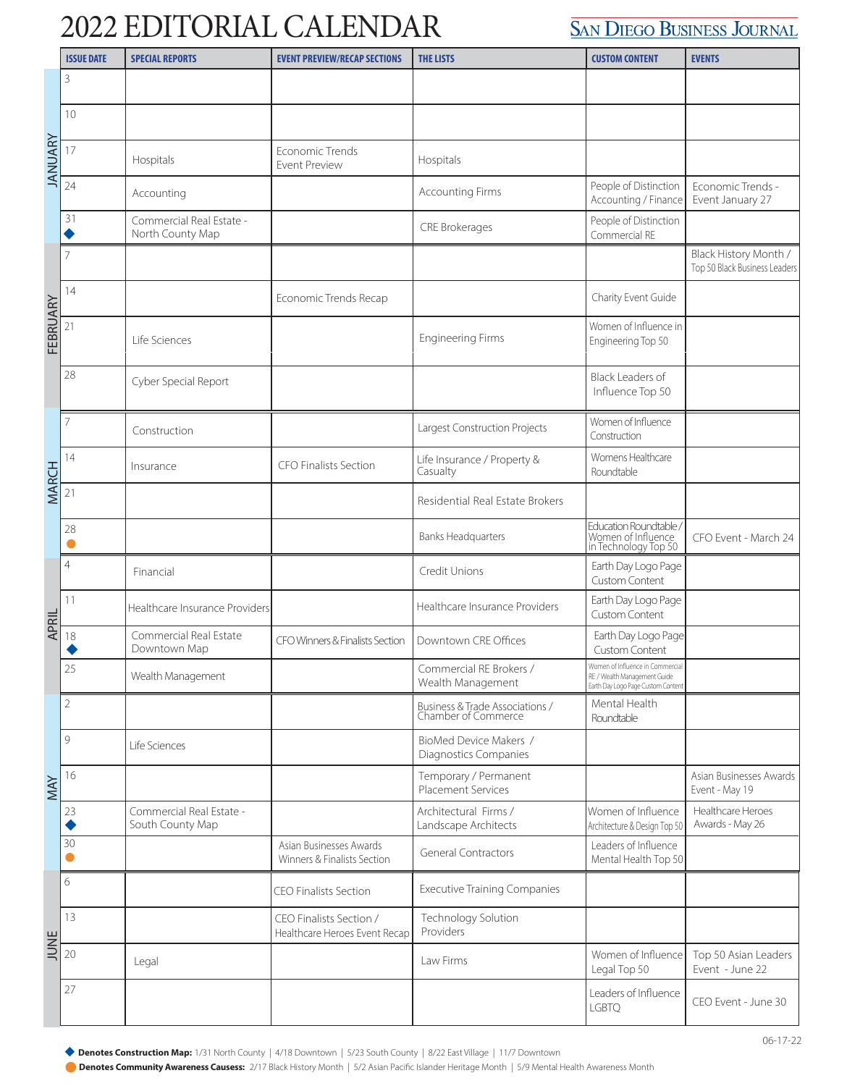## 2022 EDITORIAL CALENDAR

## **SAN DIEGO BUSINESS JOURNAL**

|              | <b>ISSUE DATE</b> | <b>SPECIAL REPORTS</b>                       | <b>EVENT PREVIEW/RECAP SECTIONS</b>                      | <b>THE LISTS</b>                                       | <b>CUSTOM CONTENT</b>                                                                                  | <b>EVENTS</b>                                          |
|--------------|-------------------|----------------------------------------------|----------------------------------------------------------|--------------------------------------------------------|--------------------------------------------------------------------------------------------------------|--------------------------------------------------------|
| JANUARY      | 3                 |                                              |                                                          |                                                        |                                                                                                        |                                                        |
|              | 10                |                                              |                                                          |                                                        |                                                                                                        |                                                        |
|              | 17                | Hospitals                                    | Economic Trends<br><b>Event Preview</b>                  | Hospitals                                              |                                                                                                        |                                                        |
|              | 24                | Accounting                                   |                                                          | <b>Accounting Firms</b>                                | People of Distinction<br>Accounting / Finance                                                          | Economic Trends -<br>Event January 27                  |
|              | 31                | Commercial Real Estate -<br>North County Map |                                                          | CRE Brokerages                                         | People of Distinction<br>Commercial RE                                                                 |                                                        |
| FEBRUARY     | 7                 |                                              |                                                          |                                                        |                                                                                                        | Black History Month /<br>Top 50 Black Business Leaders |
|              | 14                |                                              | Economic Trends Recap                                    |                                                        | Charity Event Guide                                                                                    |                                                        |
|              | 21                | Life Sciences                                |                                                          | <b>Engineering Firms</b>                               | Women of Influence in<br>Engineering Top 50                                                            |                                                        |
|              | 28                | Cyber Special Report                         |                                                          |                                                        | Black Leaders of<br>Influence Top 50                                                                   |                                                        |
|              | 7                 | Construction                                 |                                                          | Largest Construction Projects                          | Women of Influence<br>Construction                                                                     |                                                        |
|              | 14                | Insurance                                    | <b>CFO Finalists Section</b>                             | Life Insurance / Property &<br>Casualty                | Womens Healthcare<br>Roundtable                                                                        |                                                        |
| <b>MARCH</b> | 21                |                                              |                                                          | Residential Real Estate Brokers                        |                                                                                                        |                                                        |
|              | 28                |                                              |                                                          | <b>Banks Headquarters</b>                              | Education Roundtable<br>Momen of Influence<br>in Technology Top 50                                     | CFO Event - March 24                                   |
| APRIL        | $\overline{4}$    | Financial                                    |                                                          | Credit Unions                                          | Earth Day Logo Page<br>Custom Content                                                                  |                                                        |
|              | 11                | Healthcare Insurance Providers               |                                                          | Healthcare Insurance Providers                         | Earth Day Logo Page<br>Custom Content                                                                  |                                                        |
|              | 18                | Commercial Real Estate<br>Downtown Map       | CFO Winners & Finalists Section                          | Downtown CRE Offices                                   | Earth Day Logo Page<br>Custom Content                                                                  |                                                        |
|              | 25                | Wealth Management                            |                                                          | Commercial RE Brokers /<br>Wealth Management           | Women of Influence in Commercial<br>RE / Wealth Management Guide<br>Earth Day Logo Page Custom Content |                                                        |
| MAY          | $\overline{2}$    |                                              |                                                          | Business & Trade Associations /<br>Chamber of Commerce | Mental Health<br>Roundtable                                                                            |                                                        |
|              | 9                 | Life Sciences                                |                                                          | BioMed Device Makers /<br>Diagnostics Companies        |                                                                                                        |                                                        |
|              | 16                |                                              |                                                          | Temporary / Permanent<br><b>Placement Services</b>     |                                                                                                        | Asian Businesses Awards<br>Event - May 19              |
|              | 23                | Commercial Real Estate -<br>South County Map |                                                          | Architectural Firms /<br>Landscape Architects          | Women of Influence<br>Architecture & Design Top 50                                                     | Healthcare Heroes<br>Awards - May 26                   |
|              | 30                |                                              | Asian Businesses Awards<br>Winners & Finalists Section   | <b>General Contractors</b>                             | Leaders of Influence<br>Mental Health Top 50                                                           |                                                        |
|              | 6                 |                                              | <b>CEO Finalists Section</b>                             | <b>Executive Training Companies</b>                    |                                                                                                        |                                                        |
| JUNE         | 13                |                                              | CEO Finalists Section /<br>Healthcare Heroes Event Recap | Technology Solution<br>Providers                       |                                                                                                        |                                                        |
|              | 20                | Legal                                        |                                                          | Law Firms                                              | Women of Influence<br>Legal Top 50                                                                     | Top 50 Asian Leaders<br>Event - June 22                |
|              | 27                |                                              |                                                          |                                                        | Leaders of Influence<br><b>LGBTQ</b>                                                                   | CEO Event - June 30                                    |

Denotes Construction Map: 1/31 North County | 4/18 Downtown | 5/23 South County | 8/22 East Village | 11/7 Downtown

**Denotes Community Awareness Causess:** 2/17 Black History Month | 5/2 Asian Pacific Islander Heritage Month | 5/9 Mental Health Awareness Month